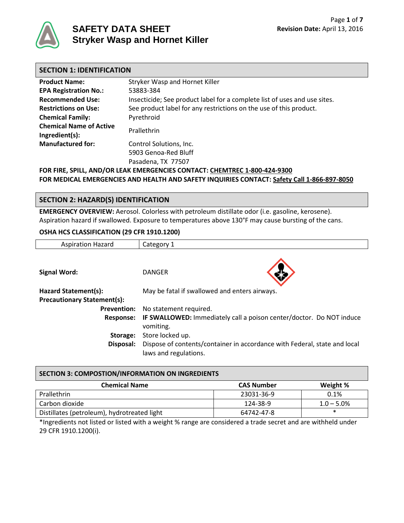

# **SAFETY DATA SHEET Stryker Wasp and Hornet Killer**

| <b>SECTION 1: IDENTIFICATION</b>                                          |                                                                           |  |
|---------------------------------------------------------------------------|---------------------------------------------------------------------------|--|
| <b>Product Name:</b>                                                      | Stryker Wasp and Hornet Killer                                            |  |
| <b>EPA Registration No.:</b>                                              | 53883-384                                                                 |  |
| <b>Recommended Use:</b>                                                   | Insecticide; See product label for a complete list of uses and use sites. |  |
| <b>Restrictions on Use:</b>                                               | See product label for any restrictions on the use of this product.        |  |
| <b>Chemical Family:</b>                                                   | Pyrethroid                                                                |  |
| <b>Chemical Name of Active</b><br>Ingredient(s):                          | Prallethrin                                                               |  |
| <b>Manufactured for:</b>                                                  | Control Solutions, Inc.                                                   |  |
|                                                                           | 5903 Genoa-Red Bluff                                                      |  |
|                                                                           | Pasadena, TX 77507                                                        |  |
| FOR FIRE, SPILL, AND/OR LEAK EMERGENCIES CONTACT: CHEMTREC 1-800-424-9300 |                                                                           |  |

**FOR MEDICAL EMERGENCIES AND HEALTH AND SAFETY INQUIRIES CONTACT: Safety Call 1-866-897-8050**

# **SECTION 2: HAZARD(S) IDENTIFICATION**

**EMERGENCY OVERVIEW:** Aerosol. Colorless with petroleum distillate odor (i.e. gasoline, kerosene). Aspiration hazard if swallowed. Exposure to temperatures above 130°F may cause bursting of the cans.

#### **OSHA HCS CLASSIFICATION (29 CFR 1910.1200)**

| <b>Aspiration Hazard</b>           | Category 1                                                                                         |
|------------------------------------|----------------------------------------------------------------------------------------------------|
|                                    |                                                                                                    |
| <b>Signal Word:</b>                | <b>DANGER</b>                                                                                      |
| Hazard Statement(s):               | May be fatal if swallowed and enters airways.                                                      |
| <b>Precautionary Statement(s):</b> |                                                                                                    |
| <b>Prevention:</b>                 | No statement required.                                                                             |
| <b>Response:</b>                   | IF SWALLOWED: Immediately call a poison center/doctor. Do NOT induce<br>vomiting.                  |
| Storage:                           | Store locked up.                                                                                   |
| Disposal:                          | Dispose of contents/container in accordance with Federal, state and local<br>laws and regulations. |

| <b>SECTION 3: COMPOSTION/INFORMATION ON INGREDIENTS</b> |                   |               |  |  |
|---------------------------------------------------------|-------------------|---------------|--|--|
| <b>Chemical Name</b>                                    | <b>CAS Number</b> | Weight %      |  |  |
| Prallethrin                                             | 23031-36-9        | 0.1%          |  |  |
| Carbon dioxide                                          | 124-38-9          | $1.0 - 5.0\%$ |  |  |
| Distillates (petroleum), hydrotreated light             | 64742-47-8        | $\ast$        |  |  |

\*Ingredients not listed or listed with a weight % range are considered a trade secret and are withheld under 29 CFR 1910.1200(i).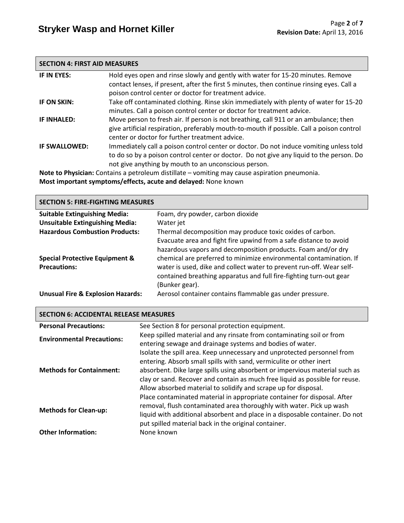#### **SECTION 4: FIRST AID MEASURES**

| IF IN EYES:        | Hold eyes open and rinse slowly and gently with water for 15-20 minutes. Remove<br>contact lenses, if present, after the first 5 minutes, then continue rinsing eyes. Call a<br>poison control center or doctor for treatment advice.     |
|--------------------|-------------------------------------------------------------------------------------------------------------------------------------------------------------------------------------------------------------------------------------------|
| IF ON SKIN:        | Take off contaminated clothing. Rinse skin immediately with plenty of water for 15-20<br>minutes. Call a poison control center or doctor for treatment advice.                                                                            |
| <b>IF INHALED:</b> | Move person to fresh air. If person is not breathing, call 911 or an ambulance; then<br>give artificial respiration, preferably mouth-to-mouth if possible. Call a poison control<br>center or doctor for further treatment advice.       |
| IF SWALLOWED:      | Immediately call a poison control center or doctor. Do not induce vomiting unless told<br>to do so by a poison control center or doctor. Do not give any liquid to the person. Do<br>not give anything by mouth to an unconscious person. |

**Note to Physician:** Contains a petroleum distillate – vomiting may cause aspiration pneumonia. **Most important symptoms/effects, acute and delayed:** None known

#### **SECTION 5: FIRE-FIGHTING MEASURES**

| <b>Suitable Extinguishing Media:</b>         | Foam, dry powder, carbon dioxide                                     |
|----------------------------------------------|----------------------------------------------------------------------|
| <b>Unsuitable Extinguishing Media:</b>       | Water jet                                                            |
| <b>Hazardous Combustion Products:</b>        | Thermal decomposition may produce toxic oxides of carbon.            |
|                                              | Evacuate area and fight fire upwind from a safe distance to avoid    |
|                                              | hazardous vapors and decomposition products. Foam and/or dry         |
| <b>Special Protective Equipment &amp;</b>    | chemical are preferred to minimize environmental contamination. If   |
| <b>Precautions:</b>                          | water is used, dike and collect water to prevent run-off. Wear self- |
|                                              | contained breathing apparatus and full fire-fighting turn-out gear   |
|                                              | (Bunker gear).                                                       |
| <b>Unusual Fire &amp; Explosion Hazards:</b> | Aerosol container contains flammable gas under pressure.             |

#### **SECTION 6: ACCIDENTAL RELEASE MEASURES**

| <b>Personal Precautions:</b>      | See Section 8 for personal protection equipment.                                                                                                                                                                                                                                                                                                                                 |
|-----------------------------------|----------------------------------------------------------------------------------------------------------------------------------------------------------------------------------------------------------------------------------------------------------------------------------------------------------------------------------------------------------------------------------|
| <b>Environmental Precautions:</b> | Keep spilled material and any rinsate from contaminating soil or from<br>entering sewage and drainage systems and bodies of water.                                                                                                                                                                                                                                               |
| <b>Methods for Containment:</b>   | Isolate the spill area. Keep unnecessary and unprotected personnel from<br>entering. Absorb small spills with sand, vermiculite or other inert<br>absorbent. Dike large spills using absorbent or impervious material such as<br>clay or sand. Recover and contain as much free liquid as possible for reuse.<br>Allow absorbed material to solidify and scrape up for disposal. |
| <b>Methods for Clean-up:</b>      | Place contaminated material in appropriate container for disposal. After<br>removal, flush contaminated area thoroughly with water. Pick up wash<br>liquid with additional absorbent and place in a disposable container. Do not<br>put spilled material back in the original container.                                                                                         |
| <b>Other Information:</b>         | None known                                                                                                                                                                                                                                                                                                                                                                       |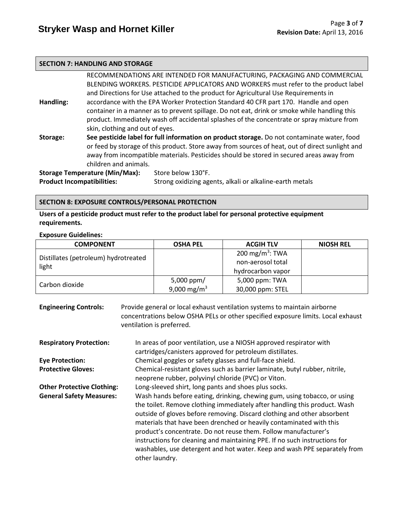#### **SECTION 7: HANDLING AND STORAGE**

| RECOMMENDATIONS ARE INTENDED FOR MANUFACTURING, PACKAGING AND COMMERCIAL                      |                                       |                                                                                                 |  |  |
|-----------------------------------------------------------------------------------------------|---------------------------------------|-------------------------------------------------------------------------------------------------|--|--|
|                                                                                               |                                       | BLENDING WORKERS. PESTICIDE APPLICATORS AND WORKERS must refer to the product label             |  |  |
|                                                                                               |                                       | and Directions for Use attached to the product for Agricultural Use Requirements in             |  |  |
| Handling:                                                                                     |                                       | accordance with the EPA Worker Protection Standard 40 CFR part 170. Handle and open             |  |  |
|                                                                                               |                                       | container in a manner as to prevent spillage. Do not eat, drink or smoke while handling this    |  |  |
|                                                                                               |                                       | product. Immediately wash off accidental splashes of the concentrate or spray mixture from      |  |  |
| skin, clothing and out of eyes.                                                               |                                       |                                                                                                 |  |  |
| Storage:                                                                                      |                                       | See pesticide label for full information on product storage. Do not contaminate water, food     |  |  |
|                                                                                               |                                       | or feed by storage of this product. Store away from sources of heat, out of direct sunlight and |  |  |
|                                                                                               |                                       | away from incompatible materials. Pesticides should be stored in secured areas away from        |  |  |
|                                                                                               | children and animals.                 |                                                                                                 |  |  |
|                                                                                               | <b>Storage Temperature (Min/Max):</b> | Store below 130°F.                                                                              |  |  |
| <b>Product Incompatibilities:</b><br>Strong oxidizing agents, alkali or alkaline-earth metals |                                       |                                                                                                 |  |  |

#### **SECTION 8: EXPOSURE CONTROLS/PERSONAL PROTECTION**

**Users of a pesticide product must refer to the product label for personal protective equipment requirements.**

#### **Exposure Guidelines:**

| <b>COMPONENT</b>                     | <b>OSHA PEL</b>              | <b>ACGIH TLV</b>            | <b>NIOSH REL</b> |
|--------------------------------------|------------------------------|-----------------------------|------------------|
| Distillates (petroleum) hydrotreated |                              | 200 mg/m <sup>3</sup> : TWA |                  |
| light                                |                              | non-aerosol total           |                  |
|                                      |                              | hydrocarbon vapor           |                  |
|                                      | 5,000 ppm/<br>5,000 ppm: TWA |                             |                  |
| Carbon dioxide                       | 9,000 mg/m <sup>3</sup>      | 30,000 ppm: STEL            |                  |

| <b>Engineering Controls:</b>      | Provide general or local exhaust ventilation systems to maintain airborne<br>concentrations below OSHA PELs or other specified exposure limits. Local exhaust<br>ventilation is preferred.                                                                                                                                                                                                                                                                                                                                                              |
|-----------------------------------|---------------------------------------------------------------------------------------------------------------------------------------------------------------------------------------------------------------------------------------------------------------------------------------------------------------------------------------------------------------------------------------------------------------------------------------------------------------------------------------------------------------------------------------------------------|
| <b>Respiratory Protection:</b>    | In areas of poor ventilation, use a NIOSH approved respirator with<br>cartridges/canisters approved for petroleum distillates.                                                                                                                                                                                                                                                                                                                                                                                                                          |
| <b>Eye Protection:</b>            | Chemical goggles or safety glasses and full-face shield.                                                                                                                                                                                                                                                                                                                                                                                                                                                                                                |
| <b>Protective Gloves:</b>         | Chemical-resistant gloves such as barrier laminate, butyl rubber, nitrile,<br>neoprene rubber, polyvinyl chloride (PVC) or Viton.                                                                                                                                                                                                                                                                                                                                                                                                                       |
| <b>Other Protective Clothing:</b> | Long-sleeved shirt, long pants and shoes plus socks.                                                                                                                                                                                                                                                                                                                                                                                                                                                                                                    |
| <b>General Safety Measures:</b>   | Wash hands before eating, drinking, chewing gum, using tobacco, or using<br>the toilet. Remove clothing immediately after handling this product. Wash<br>outside of gloves before removing. Discard clothing and other absorbent<br>materials that have been drenched or heavily contaminated with this<br>product's concentrate. Do not reuse them. Follow manufacturer's<br>instructions for cleaning and maintaining PPE. If no such instructions for<br>washables, use detergent and hot water. Keep and wash PPE separately from<br>other laundry. |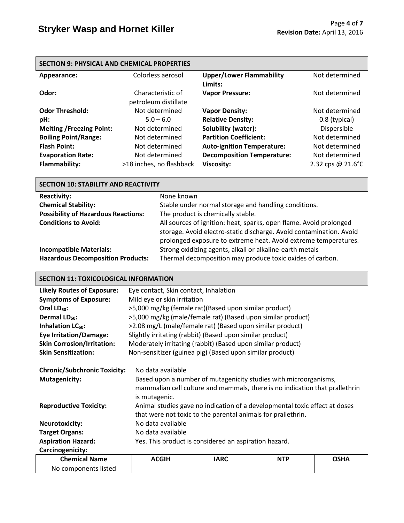| <b>SECTION 9: PHYSICAL AND CHEMICAL PROPERTIES</b> |                                           |                                            |                   |  |
|----------------------------------------------------|-------------------------------------------|--------------------------------------------|-------------------|--|
| Appearance:                                        | Colorless aerosol                         | <b>Upper/Lower Flammability</b><br>Limits: | Not determined    |  |
| Odor:                                              | Characteristic of<br>petroleum distillate | <b>Vapor Pressure:</b>                     | Not determined    |  |
| <b>Odor Threshold:</b>                             | Not determined                            | <b>Vapor Density:</b>                      | Not determined    |  |
| pH:                                                | $5.0 - 6.0$                               | <b>Relative Density:</b>                   | 0.8 (typical)     |  |
| <b>Melting /Freezing Point:</b>                    | Not determined                            | Solubility (water):                        | Dispersible       |  |
| <b>Boiling Point/Range:</b>                        | Not determined                            | <b>Partition Coefficient:</b>              | Not determined    |  |
| <b>Flash Point:</b>                                | Not determined                            | <b>Auto-ignition Temperature:</b>          | Not determined    |  |
| <b>Evaporation Rate:</b>                           | Not determined                            | <b>Decomposition Temperature:</b>          | Not determined    |  |
| <b>Flammability:</b>                               | >18 inches, no flashback                  | <b>Viscosity:</b>                          | 2.32 cps @ 21.6°C |  |

| <b>SECTION 10: STABILITY AND REACTIVITY</b>                                |                                                                                                                                                                                                              |  |  |
|----------------------------------------------------------------------------|--------------------------------------------------------------------------------------------------------------------------------------------------------------------------------------------------------------|--|--|
| <b>Reactivity:</b>                                                         | None known                                                                                                                                                                                                   |  |  |
| <b>Chemical Stability:</b>                                                 | Stable under normal storage and handling conditions.                                                                                                                                                         |  |  |
| <b>Possibility of Hazardous Reactions:</b>                                 | The product is chemically stable.                                                                                                                                                                            |  |  |
| <b>Conditions to Avoid:</b>                                                | All sources of ignition: heat, sparks, open flame. Avoid prolonged<br>storage. Avoid electro-static discharge. Avoid contamination. Avoid<br>prolonged exposure to extreme heat. Avoid extreme temperatures. |  |  |
| <b>Incompatible Materials:</b><br><b>Hazardous Decomposition Products:</b> | Strong oxidizing agents, alkali or alkaline-earth metals<br>Thermal decomposition may produce toxic oxides of carbon.                                                                                        |  |  |

# **SECTION 11: TOXICOLOGICAL INFORMATION**

| <b>Likely Routes of Exposure:</b>                                                            | Eye contact, Skin contact, Inhalation                                                                                                                                                                                                                                                                                               |                                                             |            |             |  |
|----------------------------------------------------------------------------------------------|-------------------------------------------------------------------------------------------------------------------------------------------------------------------------------------------------------------------------------------------------------------------------------------------------------------------------------------|-------------------------------------------------------------|------------|-------------|--|
| <b>Symptoms of Exposure:</b>                                                                 | Mild eye or skin irritation                                                                                                                                                                                                                                                                                                         |                                                             |            |             |  |
| Oral $LD_{50}$ :                                                                             | >5,000 mg/kg (female rat)(Based upon similar product)                                                                                                                                                                                                                                                                               |                                                             |            |             |  |
| Dermal LD <sub>50</sub> :                                                                    |                                                                                                                                                                                                                                                                                                                                     | >5,000 mg/kg (male/female rat) (Based upon similar product) |            |             |  |
| Inhalation LC <sub>50</sub> :                                                                |                                                                                                                                                                                                                                                                                                                                     | >2.08 mg/L (male/female rat) (Based upon similar product)   |            |             |  |
| <b>Eye Irritation/Damage:</b>                                                                |                                                                                                                                                                                                                                                                                                                                     | Slightly irritating (rabbit) (Based upon similar product)   |            |             |  |
| <b>Skin Corrosion/Irritation:</b>                                                            |                                                                                                                                                                                                                                                                                                                                     | Moderately irritating (rabbit) (Based upon similar product) |            |             |  |
| <b>Skin Sensitization:</b>                                                                   |                                                                                                                                                                                                                                                                                                                                     | Non-sensitizer (guinea pig) (Based upon similar product)    |            |             |  |
| <b>Chronic/Subchronic Toxicity:</b><br><b>Mutagenicity:</b><br><b>Reproductive Toxicity:</b> | No data available<br>Based upon a number of mutagenicity studies with microorganisms,<br>mammalian cell culture and mammals, there is no indication that prallethrin<br>is mutagenic.<br>Animal studies gave no indication of a developmental toxic effect at doses<br>that were not toxic to the parental animals for prallethrin. |                                                             |            |             |  |
| <b>Neurotoxicity:</b>                                                                        | No data available                                                                                                                                                                                                                                                                                                                   |                                                             |            |             |  |
| <b>Target Organs:</b>                                                                        | No data available                                                                                                                                                                                                                                                                                                                   |                                                             |            |             |  |
| <b>Aspiration Hazard:</b>                                                                    | Yes. This product is considered an aspiration hazard.                                                                                                                                                                                                                                                                               |                                                             |            |             |  |
| Carcinogenicity:                                                                             |                                                                                                                                                                                                                                                                                                                                     |                                                             |            |             |  |
| <b>Chemical Name</b>                                                                         | <b>ACGIH</b>                                                                                                                                                                                                                                                                                                                        | <b>IARC</b>                                                 | <b>NTP</b> | <b>OSHA</b> |  |
| No components listed                                                                         |                                                                                                                                                                                                                                                                                                                                     |                                                             |            |             |  |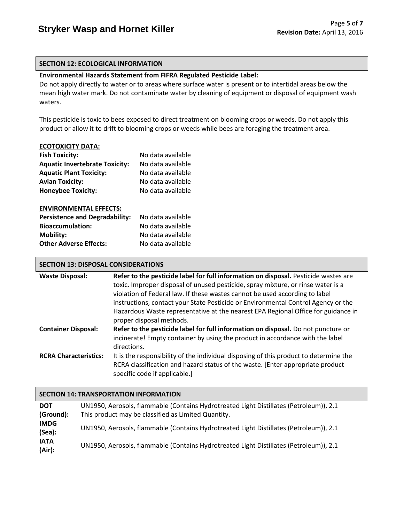#### **SECTION 12: ECOLOGICAL INFORMATION**

#### **Environmental Hazards Statement from FIFRA Regulated Pesticide Label:**

Do not apply directly to water or to areas where surface water is present or to intertidal areas below the mean high water mark. Do not contaminate water by cleaning of equipment or disposal of equipment wash waters.

This pesticide is toxic to bees exposed to direct treatment on blooming crops or weeds. Do not apply this product or allow it to drift to blooming crops or weeds while bees are foraging the treatment area.

#### **ECOTOXICITY DATA:**

| <b>Fish Toxicity:</b>                 | No data available |
|---------------------------------------|-------------------|
| <b>Aquatic Invertebrate Toxicity:</b> | No data available |
| <b>Aquatic Plant Toxicity:</b>        | No data available |
| <b>Avian Toxicity:</b>                | No data available |
| <b>Honeybee Toxicity:</b>             | No data available |
|                                       |                   |
| <b>ENVIRONMENTAL EFFECTS:</b>         |                   |
| <b>Persistence and Degradability:</b> | No data available |
| <b>Bioaccumulation:</b>               | No data available |
| <b>Mobility:</b>                      | No data available |
| <b>Other Adverse Effects:</b>         | No data available |

# **SECTION 13: DISPOSAL CONSIDERATIONS**

| <b>Waste Disposal:</b>       | Refer to the pesticide label for full information on disposal. Pesticide wastes are   |
|------------------------------|---------------------------------------------------------------------------------------|
|                              | toxic. Improper disposal of unused pesticide, spray mixture, or rinse water is a      |
|                              | violation of Federal law. If these wastes cannot be used according to label           |
|                              | instructions, contact your State Pesticide or Environmental Control Agency or the     |
|                              | Hazardous Waste representative at the nearest EPA Regional Office for guidance in     |
|                              | proper disposal methods.                                                              |
| <b>Container Disposal:</b>   | Refer to the pesticide label for full information on disposal. Do not puncture or     |
|                              | incinerate! Empty container by using the product in accordance with the label         |
|                              | directions.                                                                           |
| <b>RCRA Characteristics:</b> | It is the responsibility of the individual disposing of this product to determine the |
|                              | RCRA classification and hazard status of the waste. [Enter appropriate product]       |
|                              | specific code if applicable.]                                                         |

# **SECTION 14: TRANSPORTATION INFORMATION**

| <b>DOT</b><br>(Ground): | UN1950, Aerosols, flammable (Contains Hydrotreated Light Distillates (Petroleum)), 2.1<br>This product may be classified as Limited Quantity. |
|-------------------------|-----------------------------------------------------------------------------------------------------------------------------------------------|
| <b>IMDG</b><br>(Sea):   | UN1950, Aerosols, flammable (Contains Hydrotreated Light Distillates (Petroleum)), 2.1                                                        |
| <b>IATA</b><br>(Air):   | UN1950, Aerosols, flammable (Contains Hydrotreated Light Distillates (Petroleum)), 2.1                                                        |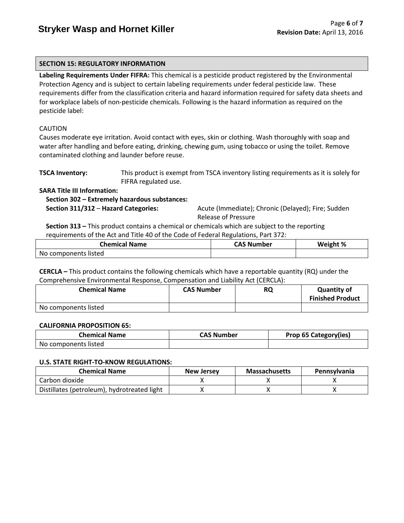# **SECTION 15: REGULATORY INFORMATION**

**Labeling Requirements Under FIFRA:** This chemical is a pesticide product registered by the Environmental Protection Agency and is subject to certain labeling requirements under federal pesticide law. These requirements differ from the classification criteria and hazard information required for safety data sheets and for workplace labels of non-pesticide chemicals. Following is the hazard information as required on the pesticide label:

# CAUTION

Causes moderate eye irritation. Avoid contact with eyes, skin or clothing. Wash thoroughly with soap and water after handling and before eating, drinking, chewing gum, using tobacco or using the toilet. Remove contaminated clothing and launder before reuse.

| <b>TSCA Inventory:</b> | This product is exempt from TSCA inventory listing requirements as it is solely for |
|------------------------|-------------------------------------------------------------------------------------|
|                        | FIFRA regulated use.                                                                |

**SARA Title III Information:**

 **Section 302 – Extremely hazardous substances:**

 **Section 311/312** – **Hazard Categories:** Acute (Immediate); Chronic (Delayed); Fire; Sudden Release of Pressure

 **Section 313 –** This product contains a chemical or chemicals which are subject to the reporting requirements of the Act and Title 40 of the Code of Federal Regulations, Part 372:

| <b>Chemical Name</b> | CAS Number | Weight % |
|----------------------|------------|----------|
| No components listed |            |          |

**CERCLA –** This product contains the following chemicals which have a reportable quantity (RQ) under the Comprehensive Environmental Response, Compensation and Liability Act (CERCLA):

| <b>Chemical Name</b> | <b>CAS Number</b> | RQ | <b>Quantity of</b><br><b>Finished Product</b> |
|----------------------|-------------------|----|-----------------------------------------------|
| No components listed |                   |    |                                               |

#### **CALIFORNIA PROPOSITION 65:**

| <b>Chemical Name</b> | <b>CAS Number</b> | Prop 65 Category(ies) |
|----------------------|-------------------|-----------------------|
| No components listed |                   |                       |

#### **U.S. STATE RIGHT-TO-KNOW REGULATIONS:**

| <b>Chemical Name</b>                        | <b>New Jersey</b> | <b>Massachusetts</b> | <b>Pennsylvania</b> |
|---------------------------------------------|-------------------|----------------------|---------------------|
| Carbon dioxide                              |                   |                      |                     |
| Distillates (petroleum), hydrotreated light |                   |                      |                     |